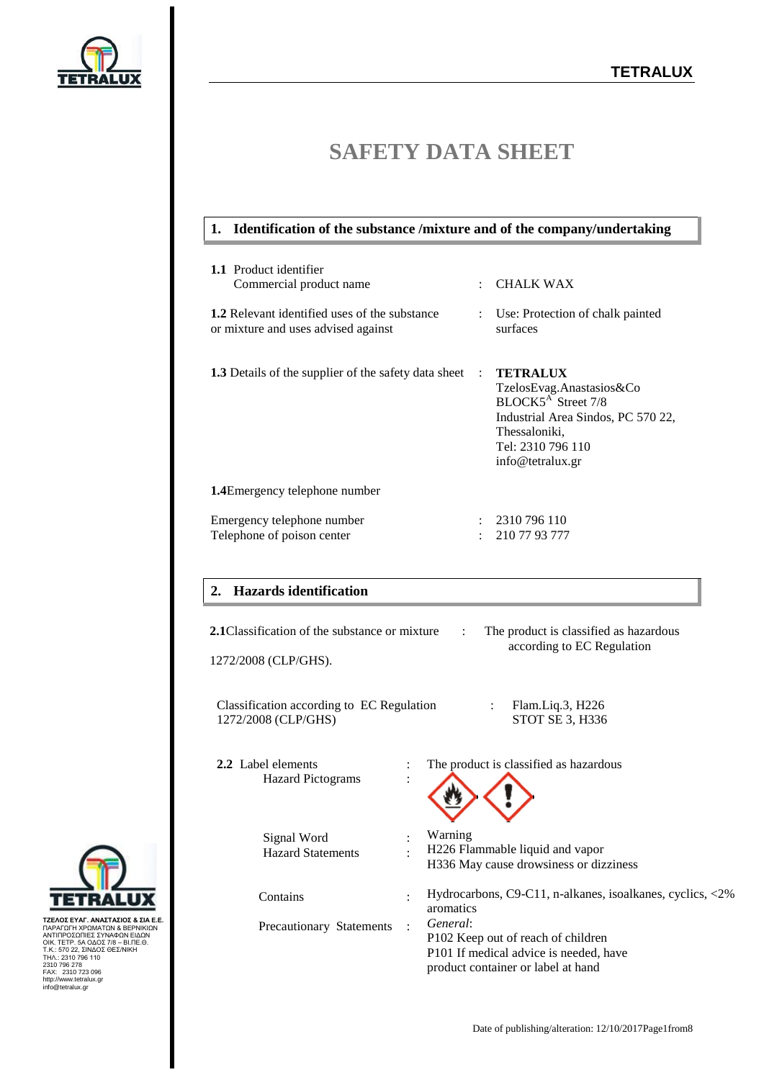

# **SAFETY DATA SHEET**

# **1. Identification of the substance /mixture and of the company/undertaking**

| <b>1.1</b> Product identifier<br>Commercial product name                                    | ÷ | <b>CHALK WAX</b>                                                                                                                                                              |
|---------------------------------------------------------------------------------------------|---|-------------------------------------------------------------------------------------------------------------------------------------------------------------------------------|
| <b>1.2</b> Relevant identified uses of the substance<br>or mixture and uses advised against |   | : Use: Protection of chalk painted<br>surfaces                                                                                                                                |
| <b>1.3</b> Details of the supplier of the safety data sheet                                 |   | <b>TETRALUX</b><br>TzelosEvag.Anastasios&Co<br>BLOCK5 <sup>A</sup> Street 7/8<br>Industrial Area Sindos, PC 570 22,<br>Thessaloniki,<br>Tel: 2310 796 110<br>info@tetralux.gr |
| <b>1.4</b> Emergency telephone number                                                       |   |                                                                                                                                                                               |
| Emergency telephone number<br>Telephone of poison center                                    |   | : 2310796110<br>210 77 93 777                                                                                                                                                 |

# **2. Hazards identification**

| <b>2.1</b> Classification of the substance or mixture            | The product is classified as hazardous<br>÷<br>according to EC Regulation                                                                               |
|------------------------------------------------------------------|---------------------------------------------------------------------------------------------------------------------------------------------------------|
| 1272/2008 (CLP/GHS).                                             |                                                                                                                                                         |
| Classification according to EC Regulation<br>1272/2008 (CLP/GHS) | Flam.Liq.3, H226<br>STOT SE 3, H336                                                                                                                     |
| 2.2 Label elements<br><b>Hazard Pictograms</b>                   | The product is classified as hazardous                                                                                                                  |
| Signal Word<br><b>Hazard Statements</b>                          | Warning<br>H226 Flammable liquid and vapor<br>H336 May cause drowsiness or dizziness                                                                    |
| Contains                                                         | Hydrocarbons, C9-C11, n-alkanes, isoalkanes, cyclics, <2%<br>aromatics                                                                                  |
| Precautionary Statements                                         | General:<br>$\bullet$<br>P102 Keep out of reach of children<br>P <sub>101</sub> If medical advice is needed, have<br>product container or label at hand |



ΤΖΕΛΟΣ ΕΥΑΓ. ΑΝΑΣΤΑΣΙΌΣ & ΣΙΑ Ε.Ε.<br>ΠΑΡΑΓΩΓΗ ΧΡΩΜΑΤΩΝ & ΒΕΡΝΙΚΙΩΝ<br>ΑΝΤΙΠΡΟΣΩΠΙΕΣ ΣΥΝΑΦΩΝ ΕΙΔΩΝ<br>ΟΙΚ. ΤΕΤΡ. 5Α ΟΔΟΣ 78 – ΒΙ.ΠΕ.Θ.<br>Τ.Κ.: 570 22, ΣΙΝΔΟΣ ΘΕΣ/ΝΙΚΗ<br>230.7 796 278<br>ΑΣ.: 2310 736<br>ΜΕΛ.: 2310 723 096<br>http://www.tetralu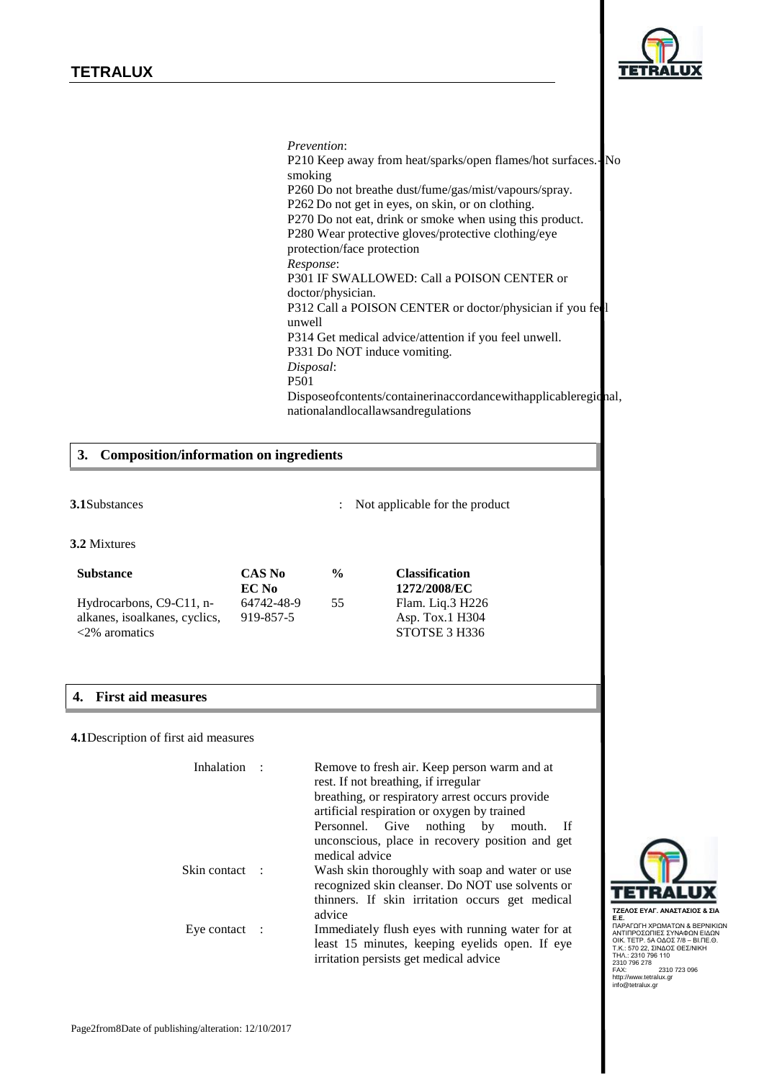

*Prevention*: P210 Keep away from heat/sparks/open flames/hot surfaces.- No smoking P260 Do not breathe dust/fume/gas/mist/vapours/spray. P262 Do not get in eyes, on skin, or on clothing. P270 Do not eat, drink or smoke when using this product. P280 Wear protective gloves/protective clothing/eye protection/face protection *Response*: P301 IF SWALLOWED: Call a POISON CENTER or doctor/physician. P312 Call a POISON CENTER or doctor/physician if you feel unwell P314 Get medical advice/attention if you feel unwell. P331 Do NOT induce vomiting. *Disposal*: P501 Disposeofcontents/containerinaccordancewithapplicableregional, nationalandlocallawsandregulations

### **3. Composition/information on ingredients**

#### **3.1**Substances : Not applicable for the product

**3.2** Mixtures

| <b>Substance</b>              | <b>CAS No</b> |  |
|-------------------------------|---------------|--|
|                               | EC No         |  |
| Hydrocarbons, C9-C11, n-      | 64742-48-9    |  |
| alkanes, isoalkanes, cyclics, | 919-857-5     |  |
| $\langle 2\%$ aromatics       |               |  |

# **4. First aid measures**

#### **4.1**Description of first aid measures

| Inhalation:              | Remove to fresh air. Keep person warm and at<br>rest. If not breathing, if irregular<br>breathing, or respiratory arrest occurs provide<br>artificial respiration or oxygen by trained |
|--------------------------|----------------------------------------------------------------------------------------------------------------------------------------------------------------------------------------|
|                          | Personnel. Give nothing by<br>- If<br>mouth.                                                                                                                                           |
|                          | unconscious, place in recovery position and get<br>medical advice                                                                                                                      |
| Skin contact :           | Wash skin thoroughly with soap and water or use<br>recognized skin cleanser. Do NOT use solvents or<br>thinners. If skin irritation occurs get medical<br>advice                       |
| Eye contact $\therefore$ | Immediately flush eyes with running water for at<br>least 15 minutes, keeping eyelids open. If eye<br>irritation persists get medical advice                                           |

**% Classification**

55 Flam. Liq.3 H226

**1272/2008/EC**

Asp. Tox.1 H304 STOTSE 3 H336



**ΤΖΕΛΟΣ ΕΥΑΓ. ΑΝΑΣΤΑΣΙΟΣ & ΣΙΑ Ε.Ε.** ΠΑΡΑΓΩΓΗ ΧΡΩΜΑΤΩΝ & ΒΕΡΝΙΚΙΩΝ<br>ΑΝΤΙΠΡΟΣΩΠΙΕΣ ΣΥΝΑΦΩΝ ΕΙΔΩΝ ΟΙΚ. ΤΕΤΡ. 5Α ΟΔΟΣ 7/8 – ΒΙ.ΠΕ.Θ.<br>Τ.Κ.: 570 22, ΣΙΝΔΟΣ ΘΕΣ/ΝΙΚΗ ΣΗΛ.: 2310 796 110 2310 796 278 FAX: 2310 723 096 http://www.tetralux.gr info@tetralux.gr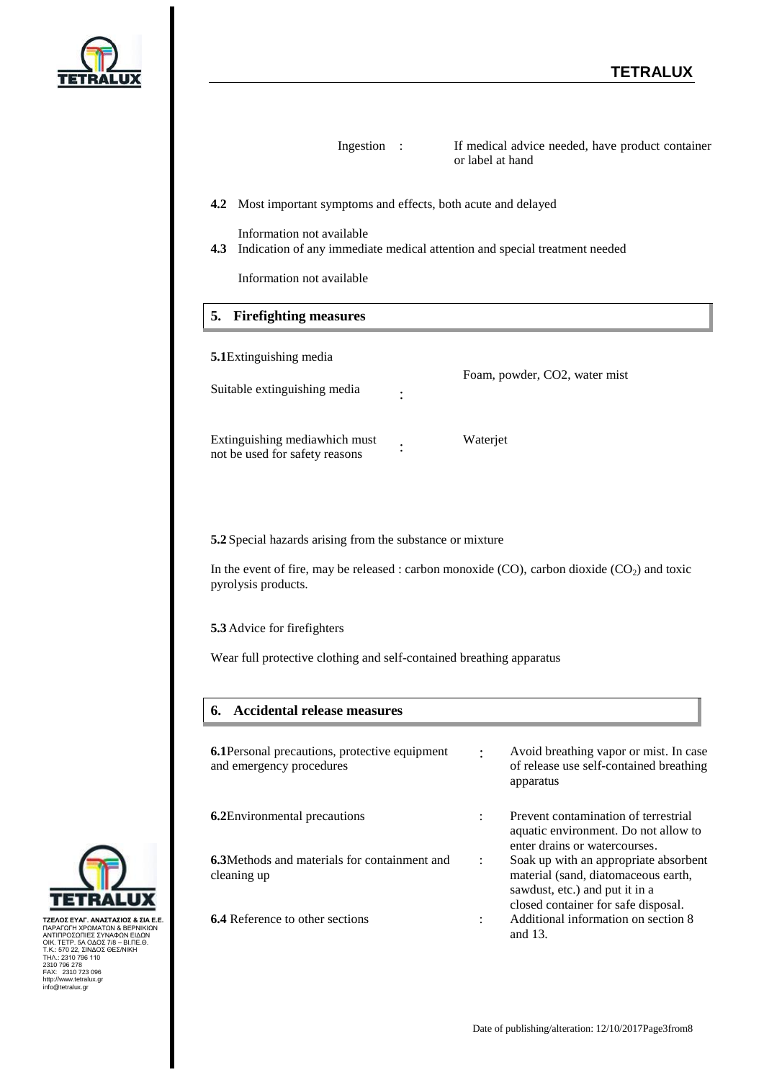

| Ingestion                                                                                                                                                                                                          | If medical advice needed, have product container<br>or label at hand                                           |
|--------------------------------------------------------------------------------------------------------------------------------------------------------------------------------------------------------------------|----------------------------------------------------------------------------------------------------------------|
| <b>4.2</b> Most important symptoms and effects, both acute and delayed                                                                                                                                             |                                                                                                                |
| Information not available<br>4.3 Indication of any immediate medical attention and special treatment needed<br>Information not available                                                                           |                                                                                                                |
| <b>Firefighting measures</b><br>5.                                                                                                                                                                                 |                                                                                                                |
| <b>5.1</b> Extinguishing media<br>Suitable extinguishing media                                                                                                                                                     | Foam, powder, CO2, water mist                                                                                  |
| Extinguishing mediawhich must<br>not be used for safety reasons                                                                                                                                                    | Waterjet                                                                                                       |
| 5.2 Special hazards arising from the substance or mixture<br>In the event of fire, may be released : carbon monoxide (CO), carbon dioxide $(CO_2)$ and toxic<br>pyrolysis products.<br>5.3 Advice for firefighters |                                                                                                                |
| Wear full protective clothing and self-contained breathing apparatus                                                                                                                                               |                                                                                                                |
| <b>Accidental release measures</b><br>6.                                                                                                                                                                           |                                                                                                                |
| <b>6.1</b> Personal precautions, protective equipment<br>and emergency procedures                                                                                                                                  | Avoid breathing vapor or mist. In case<br>of release use self-contained breathing<br>apparatus                 |
| <b>6.2</b> Environmental precautions                                                                                                                                                                               | Prevent contamination of terrestrial<br>aquatic environment. Do not allow to<br>enter drains or watercourses.  |
| <b>6.3</b> Methods and materials for containment and<br>cleaning up                                                                                                                                                | Soak up with an appropriate absorbent<br>material (sand, diatomaceous earth,<br>sawdust, etc.) and put it in a |

closed container for safe disposal. **6.4** Reference to other sections : Additional information on section 8 and 13.



ΤΖΕΛΟΣ ΕΥΑΓ. ΑΝΑΣΤΑΣΙΌΣ & ΣΙΑ Ε.Ε.<br>ΠΑΡΑΓΩΓΗ ΧΡΩΜΑΤΩΝ & ΒΕΡΝΙΚΙΩΝ<br>ΑΝΤΙΠΡΟΣΩΠΙΕΣ ΣΥΝΑΦΩΝ ΕΙΔΩΝ<br>ΟΙΚ. ΤΕΤΡ. 5Α ΟΔΟΣ 78 – ΒΙ.ΠΕ.Θ.<br>Τ.Κ.: 570 22, ΣΙΝΔΟΣ ΘΕΣ/ΝΙΚΗ<br>230.7 796 278<br>ΑΣ.: 2310 736<br>ΜΕΛ.: 2310 723 096<br>http://www.tetralu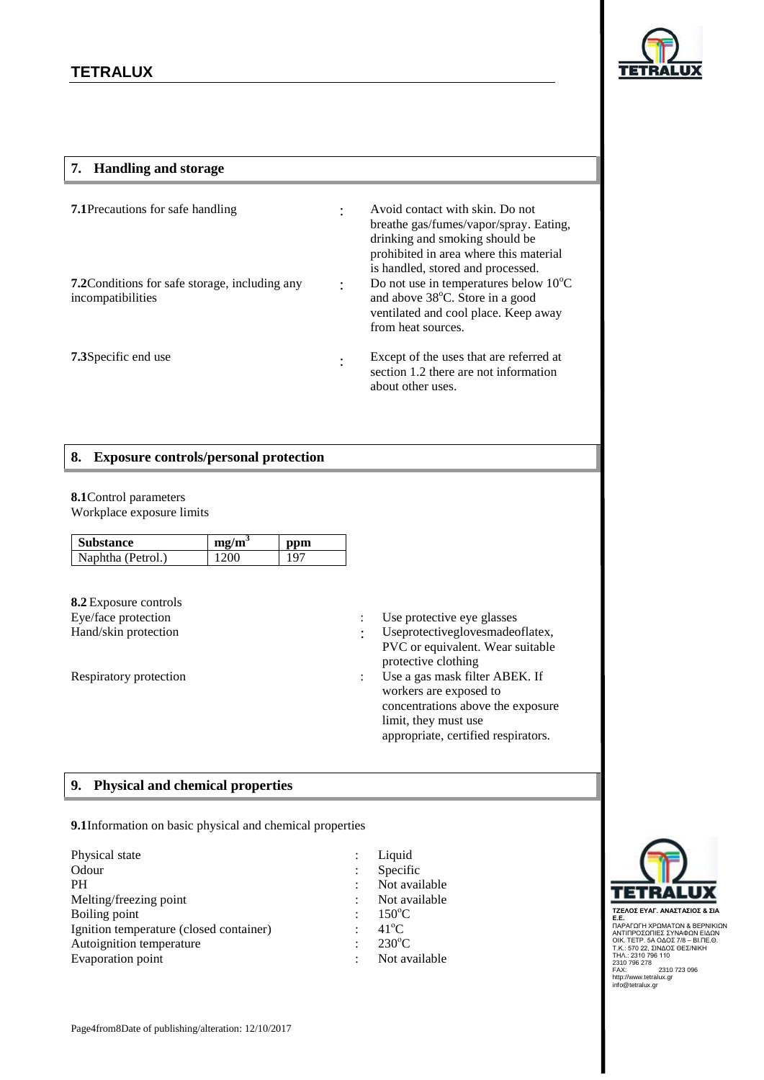

### **7. Handling and storage**

| <b>7.1</b> Precautions for safe handling                                   | ٠              | Avoid contact with skin. Do not<br>breathe gas/fumes/vapor/spray. Eating,<br>drinking and smoking should be<br>prohibited in area where this material<br>is handled, stored and processed. |
|----------------------------------------------------------------------------|----------------|--------------------------------------------------------------------------------------------------------------------------------------------------------------------------------------------|
| <b>7.2</b> Conditions for safe storage, including any<br>incompatibilities | $\ddot{\cdot}$ | Do not use in temperatures below 10°C<br>and above 38°C. Store in a good<br>ventilated and cool place. Keep away<br>from heat sources.                                                     |
| <b>7.3</b> Specific end use                                                | ٠              | Except of the uses that are referred at<br>section 1.2 there are not information<br>about other uses.                                                                                      |

#### **8. Exposure controls/personal protection**

# **8.1**Control parameters

Workplace exposure limits

| <b>Substance</b>  | me/m <sup>3</sup> | ppm |
|-------------------|-------------------|-----|
| Naphtha (Petrol.) | 1200              | 107 |

**8.2** Exposure controls

- Eye/face protection : Use protective eye glasses
- Hand/skin protection : Useprotectiveglovesmadeoflatex, PVC or equivalent. Wear suitable protective clothing
- Respiratory protection : Use a gas mask filter ABEK. If workers are exposed to concentrations above the exposure limit, they must use appropriate, certified respirators.

# **9. Physical and chemical properties**

**9.1**Information on basic physical and chemical properties

| Physical state                          |
|-----------------------------------------|
| Odour                                   |
| <b>PH</b>                               |
| Melting/freezing point                  |
| Boiling point                           |
| Ignition temperature (closed container) |
| Autoignition temperature                |
| <b>Evaporation point</b>                |

: Liquid Specific Not available Not available 150<sup>°</sup>C  $41^{\circ}$ C  $230^{\circ}$ C : Not available

: : : :

: :



**ΤΖΕΛΟΣ ΕΥΑΓ. ΑΝΑΣΤΑΣΙΟΣ & ΣΙΑ<br>Ε.Ε.**<br>Ε.Ε.<br>ΑΝΤΙΠΡΟΣΩΠΙΕΣ ΣΥΝΑΦΩΝ ΕΙΔΩΝ<br>ΑΝΤΙΠΡΟΣΩΠΙΕΣ ΣΥΝΑΦΩΝ ΕΙΔΩΝ<br>ΟΙΚ. ΤΕΤΡ. 5Α ΟΔΟΣ 7/8 - ΒΙ.ΠΕ.Θ.<br>Ζ310 796 278<br>ΤΗΛ.: 2310 796 110<br>FAX: 2310 796 110<br>http://www.tetralux.gr<br>info@tetralux.gr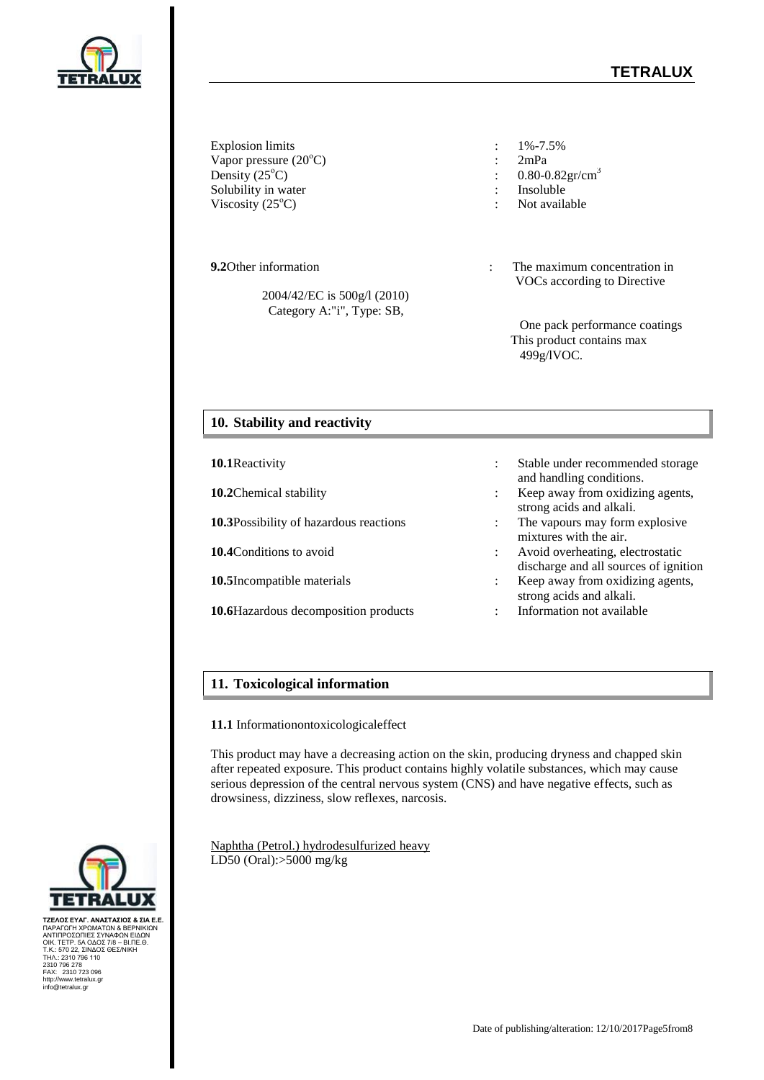# **TETRALUX**



Explosion limits : 1%-7.5% Vapor pressure (20<sup>o</sup>C) : 2mPa Density  $(25^{\circ}C)$  : 0.80-0.82gr/cm<sup>3</sup> Solubility in water  $\cdot$  Insoluble Viscosity  $(25^{\circ}C)$  : Not available

 2004/42/EC is 500g/l (2010) Category A:"i", Type: SB,

- 
- 
- 
- 
- 
- **9.2**Other information **in**  $\cdot$  The maximum concentration in VOCs according to Directive

One pack performance coatings This product contains max 499g/lVOC.

# **10. Stability and reactivity**

**10.1**Reactivity : Stable under recommended storage and handling conditions. **10.2**Chemical stability **in the stability in the stability in the Keep away from oxidizing agents,** strong acids and alkali. **10.3**Possibility of hazardous reactions : The vapours may form explosive mixtures with the air. **10.4**Conditions to avoid : Avoid overheating, electrostatic discharge and all sources of ignition **10.5**Incompatible materials : Keep away from oxidizing agents, strong acids and alkali. **10.6**Hazardous decomposition products : Information not available

## **11. Toxicological information**

**11.1** Informationontoxicologicaleffect

This product may have a decreasing action on the skin, producing dryness and chapped skin after repeated exposure. This product contains highly volatile substances, which may cause serious depression of the central nervous system (CNS) and have negative effects, such as drowsiness, dizziness, slow reflexes, narcosis.

Naphtha (Petrol.) hydrodesulfurized heavy LD50 (Oral):>5000 mg/kg



**ΤΖΕΛΟΣ ΕΥΑΓ. ΑΝΑΣΤΑΣΙΟΣ & ΣΙΑ Ε.Ε.** ΠΑΡΑΓΩΓΗ ΧΡΩΜΑΤΩΝ & ΒΕΡΝΙΚΙΩΝ<br>ΑΝΤΙΠΡΟΣΩΠΙΕΣ ΣΥΝΑΦΩΝ ΕΙΔΩΝ<br>ΟΙΚ. ΤΕΤΡ. 5Α ΟΔΟΣ 7/8 – ΒΙ.ΠΕ.Θ.<br>ΤΗΛ.: 2310 796 110<br>2310 796 278<br>FAX: 2310 723 096<br>http://www.tetralux.gr<br>info@tetralux.gr

Date of publishing/alteration: 12/10/2017Page5from8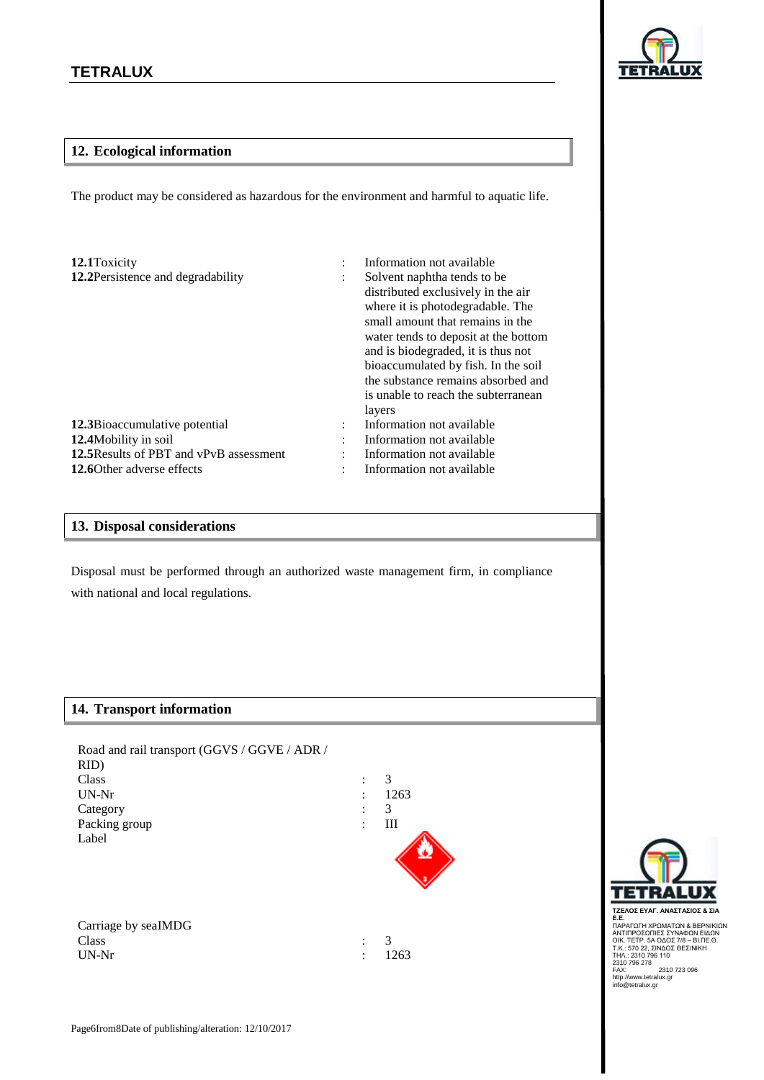

## **12. Ecological information**

The product may be considered as hazardous for the environment and harmful to aquatic life.

| 12.1 Toxicity<br>12.2Persistence and degradability | $\ddot{\cdot}$ | Information not available<br>Solvent naphtha tends to be.<br>distributed exclusively in the air<br>where it is photodegradable. The<br>small amount that remains in the<br>water tends to deposit at the bottom<br>and is biodegraded, it is thus not<br>bioaccumulated by fish. In the soil<br>the substance remains absorbed and<br>is unable to reach the subterranean<br>layers |
|----------------------------------------------------|----------------|-------------------------------------------------------------------------------------------------------------------------------------------------------------------------------------------------------------------------------------------------------------------------------------------------------------------------------------------------------------------------------------|
| 12.3Bioaccumulative potential                      | $\ddot{\cdot}$ | Information not available                                                                                                                                                                                                                                                                                                                                                           |
| 12.4 Mobility in soil                              | ٠              | Information not available                                                                                                                                                                                                                                                                                                                                                           |
| 12.5 Results of PBT and vPvB assessment            |                | Information not available                                                                                                                                                                                                                                                                                                                                                           |
| 12.60 ther adverse effects                         |                | Information not available                                                                                                                                                                                                                                                                                                                                                           |

#### **13. Disposal considerations**

Disposal must be performed through an authorized waste management firm, in compliance with national and local regulations.

#### **14. Transport information**

| Road and rail transport (GGVS / GGVE / ADR / |                |      |
|----------------------------------------------|----------------|------|
| RID)                                         |                |      |
| Class                                        |                | 3    |
| $UN-Nr$                                      | $\ddot{\cdot}$ | 1263 |
| Category                                     | ٠              | 3    |
| Packing group                                | :              | Ш    |
| Label                                        |                |      |
|                                              |                |      |
|                                              |                |      |
|                                              |                |      |
|                                              |                |      |

| Carriage by seaIMDG |  |
|---------------------|--|
| Class               |  |
| UN-Nr               |  |

: : 3 1263



**ΤΖΕΛΟΣ ΕΥΑΓ. ΑΝΑΣΤΑΣΙΟΣ & ΣΙΑ<br>Ε.Ε.**<br>Ε.Ε.<br>ΑΝΤΙΠΡΟΣΩΠΙΕΣ ΣΥΝΑΦΩΝ ΕΙΔΩΝ<br>ΑΝΤΙΠΡΟΣΩΠΙΕΣ ΣΥΝΑΦΩΝ ΕΙΔΩΝ<br>ΟΙΚ. ΤΕΤΡ. 5Α ΟΔΟΣ 7/8 - ΒΙ.ΠΕ.Θ.<br>Ζ310 796 278<br>ΤΗΛ.: 2310 796 110<br>FAX: 2310 796 110<br>http://www.tetralux.gr<br>info@tetralux.gr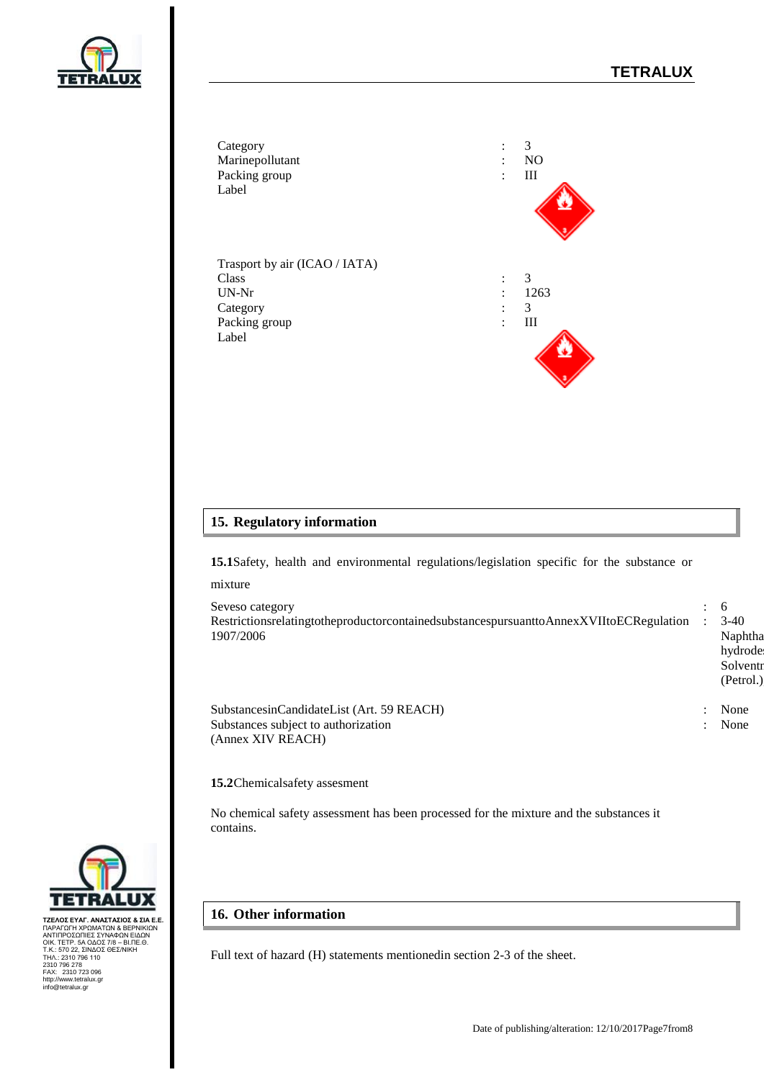hydrode Solventi  $(Petrol.)$ 

: None





# **15. Regulatory information**

**15.1**Safety, health and environmental regulations/legislation specific for the substance or mixture

Seveso category : 6 RestrictionsrelatingtotheproductorcontainedsubstancespursuanttoAnnexXVIItoECRegulation 1907/2006 : 3-40 Naphtha

SubstancesinCandidateList (Art. 59 REACH) : None Substances subject to authorization (Annex XIV REACH)

**15.2**Chemicalsafety assesment

No chemical safety assessment has been processed for the mixture and the substances it contains.

#### **16. Other information**

Full text of hazard (Η) statements mentionedin section 2-3 of the sheet.



ΤΖΕΛΟΣ ΕΥΑΓ. ΑΝΑΣΤΑΣΙΌΣ & ΣΙΑ Ε.Ε.<br>ΠΑΡΑΓΩΓΗ ΧΡΩΜΑΤΩΝ & ΒΕΡΝΙΚΙΩΝ<br>ΑΝΤΙΠΡΟΣΩΠΙΕΣ ΣΥΝΑΦΩΝ ΕΙΔΩΝ<br>ΟΙΚ. ΤΕΤΡ. 5Α ΟΔΟΣ 78 – ΒΙ.ΠΕ.Θ.<br>Τ.Κ.: 570 22, ΣΙΝΔΟΣ ΘΕΣ/ΝΙΚΗ<br>230.7 796 278<br>ΑΣ.: 2310 736<br>ΜΕΛ.: 2310 723 096<br>http://www.tetralu